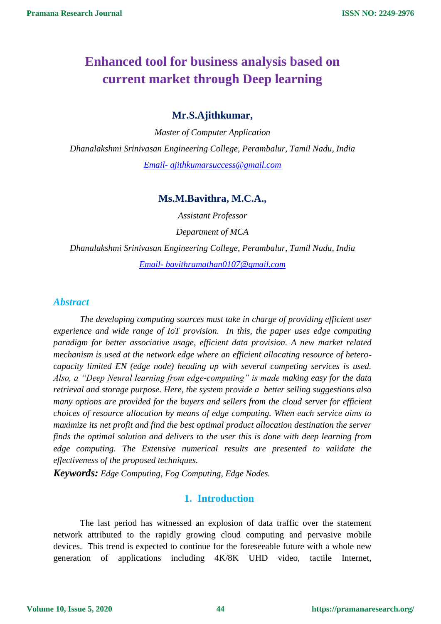# **Enhanced tool for business analysis based on current market through Deep learning**

## **Mr.S.Ajithkumar,**

*Master of Computer Application Dhanalakshmi Srinivasan Engineering College, Perambalur, Tamil Nadu, India Email- [ajithkumarsuccess@gmail.com](mailto:Email-%20ajithkumarsuccess@gmail.com)*

## **Ms.M.Bavithra, M.C.A.,**

*Assistant Professor Department of MCA*

*Dhanalakshmi Srinivasan Engineering College, Perambalur, Tamil Nadu, India Email- [bavithramathan0107@gmail.com](mailto:Email-%20bavithramathan0107@gmail.com)*

## *Abstract*

*The developing computing sources must take in charge of providing efficient user experience and wide range of IoT provision. In this, the paper uses edge computing paradigm for better associative usage, efficient data provision. A new market related mechanism is used at the network edge where an efficient allocating resource of heterocapacity limited EN (edge node) heading up with several competing services is used. Also, a "Deep Neural learning from edge-computing" is made making easy for the data retrieval and storage purpose. Here, the system provide a better selling suggestions also many options are provided for the buyers and sellers from the cloud server for efficient choices of resource allocation by means of edge computing. When each service aims to maximize its net profit and find the best optimal product allocation destination the server finds the optimal solution and delivers to the user this is done with deep learning from edge computing. The Extensive numerical results are presented to validate the effectiveness of the proposed techniques.*

*Keywords: Edge Computing, Fog Computing, Edge Nodes.*

# **1. Introduction**

The last period has witnessed an explosion of data traffic over the statement network attributed to the rapidly growing cloud computing and pervasive mobile devices. This trend is expected to continue for the foreseeable future with a whole new generation of applications including 4K/8K UHD video, tactile Internet,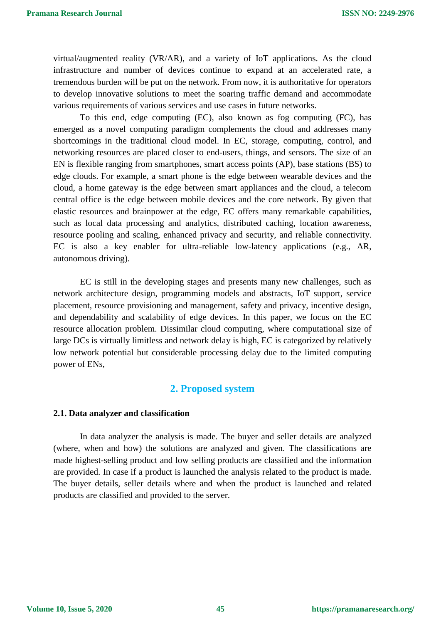virtual/augmented reality (VR/AR), and a variety of IoT applications. As the cloud infrastructure and number of devices continue to expand at an accelerated rate, a tremendous burden will be put on the network. From now, it is authoritative for operators to develop innovative solutions to meet the soaring traffic demand and accommodate various requirements of various services and use cases in future networks.

To this end, edge computing (EC), also known as fog computing (FC), has emerged as a novel computing paradigm complements the cloud and addresses many shortcomings in the traditional cloud model. In EC, storage, computing, control, and networking resources are placed closer to end-users, things, and sensors. The size of an EN is flexible ranging from smartphones, smart access points (AP), base stations (BS) to edge clouds. For example, a smart phone is the edge between wearable devices and the cloud, a home gateway is the edge between smart appliances and the cloud, a telecom central office is the edge between mobile devices and the core network. By given that elastic resources and brainpower at the edge, EC offers many remarkable capabilities, such as local data processing and analytics, distributed caching, location awareness, resource pooling and scaling, enhanced privacy and security, and reliable connectivity. EC is also a key enabler for ultra-reliable low-latency applications (e.g., AR, autonomous driving).

EC is still in the developing stages and presents many new challenges, such as network architecture design, programming models and abstracts, IoT support, service placement, resource provisioning and management, safety and privacy, incentive design, and dependability and scalability of edge devices. In this paper, we focus on the EC resource allocation problem. Dissimilar cloud computing, where computational size of large DCs is virtually limitless and network delay is high, EC is categorized by relatively low network potential but considerable processing delay due to the limited computing power of ENs,

## **2. Proposed system**

#### **2.1. Data analyzer and classification**

In data analyzer the analysis is made. The buyer and seller details are analyzed (where, when and how) the solutions are analyzed and given. The classifications are made highest-selling product and low selling products are classified and the information are provided. In case if a product is launched the analysis related to the product is made. The buyer details, seller details where and when the product is launched and related products are classified and provided to the server.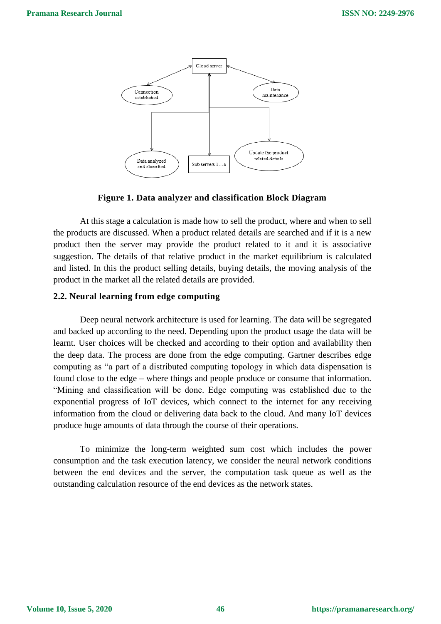

## **Figure 1. Data analyzer and classification Block Diagram**

At this stage a calculation is made how to sell the product, where and when to sell the products are discussed. When a product related details are searched and if it is a new product then the server may provide the product related to it and it is associative suggestion. The details of that relative product in the market equilibrium is calculated and listed. In this the product selling details, buying details, the moving analysis of the product in the market all the related details are provided.

## **2.2. Neural learning from edge computing**

Deep neural network architecture is used for learning. The data will be segregated and backed up according to the need. Depending upon the product usage the data will be learnt. User choices will be checked and according to their option and availability then the deep data. The process are done from the edge computing. Gartner describes edge computing as "a part of a distributed computing topology in which data dispensation is found close to the edge – where things and people produce or consume that information. "Mining and classification will be done. Edge computing was established due to the exponential progress of IoT devices, which connect to the internet for any receiving information from the cloud or delivering data back to the cloud. And many IoT devices produce huge amounts of data through the course of their operations.

To minimize the long-term weighted sum cost which includes the power consumption and the task execution latency, we consider the neural network conditions between the end devices and the server, the computation task queue as well as the outstanding calculation resource of the end devices as the network states.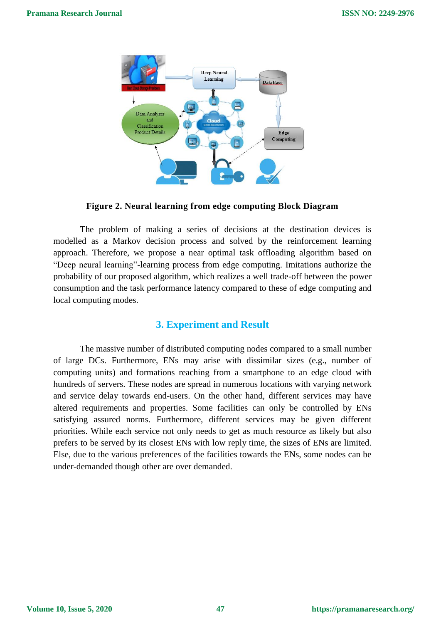

**Figure 2. Neural learning from edge computing Block Diagram**

The problem of making a series of decisions at the destination devices is modelled as a Markov decision process and solved by the reinforcement learning approach. Therefore, we propose a near optimal task offloading algorithm based on "Deep neural learning"-learning process from edge computing. Imitations authorize the probability of our proposed algorithm, which realizes a well trade-off between the power consumption and the task performance latency compared to these of edge computing and local computing modes.

# **3. Experiment and Result**

The massive number of distributed computing nodes compared to a small number of large DCs. Furthermore, ENs may arise with dissimilar sizes (e.g., number of computing units) and formations reaching from a smartphone to an edge cloud with hundreds of servers. These nodes are spread in numerous locations with varying network and service delay towards end-users. On the other hand, different services may have altered requirements and properties. Some facilities can only be controlled by ENs satisfying assured norms. Furthermore, different services may be given different priorities. While each service not only needs to get as much resource as likely but also prefers to be served by its closest ENs with low reply time, the sizes of ENs are limited. Else, due to the various preferences of the facilities towards the ENs, some nodes can be under-demanded though other are over demanded.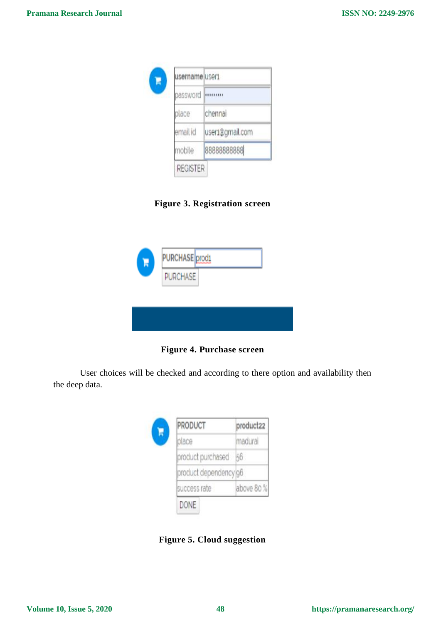

**Figure 3. Registration screen**

| R | PURCHASE prod1  |  |
|---|-----------------|--|
|   | <b>PURCHASE</b> |  |
|   |                 |  |
|   |                 |  |

**Figure 4. Purchase screen** 

User choices will be checked and according to there option and availability then the deep data.



**Figure 5. Cloud suggestion**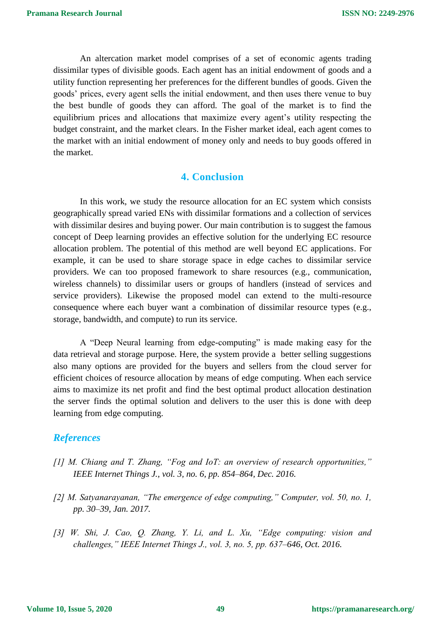An altercation market model comprises of a set of economic agents trading dissimilar types of divisible goods. Each agent has an initial endowment of goods and a utility function representing her preferences for the different bundles of goods. Given the goods' prices, every agent sells the initial endowment, and then uses there venue to buy the best bundle of goods they can afford. The goal of the market is to find the equilibrium prices and allocations that maximize every agent's utility respecting the budget constraint, and the market clears. In the Fisher market ideal, each agent comes to the market with an initial endowment of money only and needs to buy goods offered in the market.

# **4. Conclusion**

In this work, we study the resource allocation for an EC system which consists geographically spread varied ENs with dissimilar formations and a collection of services with dissimilar desires and buying power. Our main contribution is to suggest the famous concept of Deep learning provides an effective solution for the underlying EC resource allocation problem. The potential of this method are well beyond EC applications. For example, it can be used to share storage space in edge caches to dissimilar service providers. We can too proposed framework to share resources (e.g., communication, wireless channels) to dissimilar users or groups of handlers (instead of services and service providers). Likewise the proposed model can extend to the multi-resource consequence where each buyer want a combination of dissimilar resource types (e.g., storage, bandwidth, and compute) to run its service.

A "Deep Neural learning from edge-computing" is made making easy for the data retrieval and storage purpose. Here, the system provide a better selling suggestions also many options are provided for the buyers and sellers from the cloud server for efficient choices of resource allocation by means of edge computing. When each service aims to maximize its net profit and find the best optimal product allocation destination the server finds the optimal solution and delivers to the user this is done with deep learning from edge computing.

## *References*

- *[1] M. Chiang and T. Zhang, "Fog and IoT: an overview of research opportunities," IEEE Internet Things J., vol. 3, no. 6, pp. 854–864, Dec. 2016.*
- *[2] M. Satyanarayanan, "The emergence of edge computing," Computer, vol. 50, no. 1, pp. 30–39, Jan. 2017.*
- *[3] W. Shi, J. Cao, Q. Zhang, Y. Li, and L. Xu, "Edge computing: vision and challenges," IEEE Internet Things J., vol. 3, no. 5, pp. 637–646, Oct. 2016.*